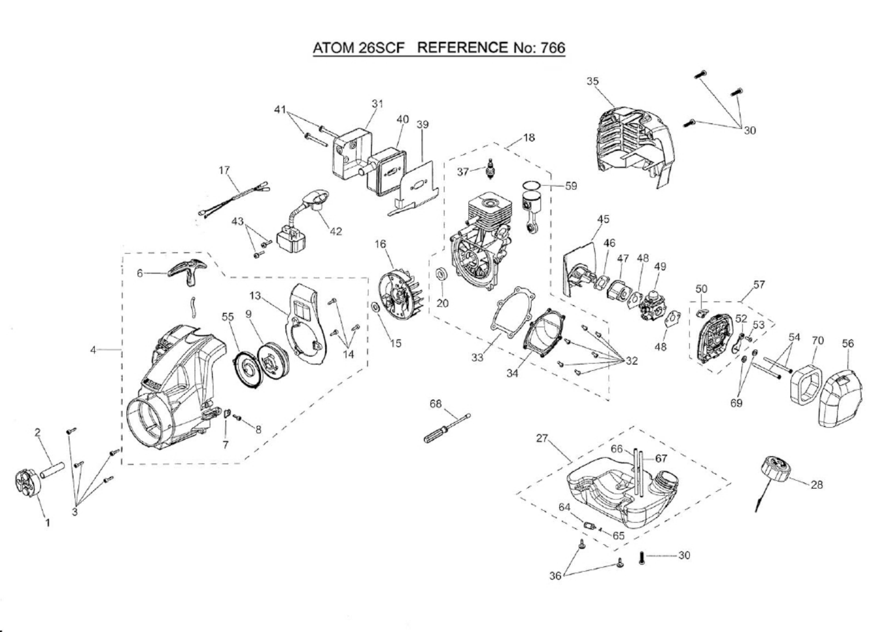## ATOM 26SCF REFERENCE No: 766